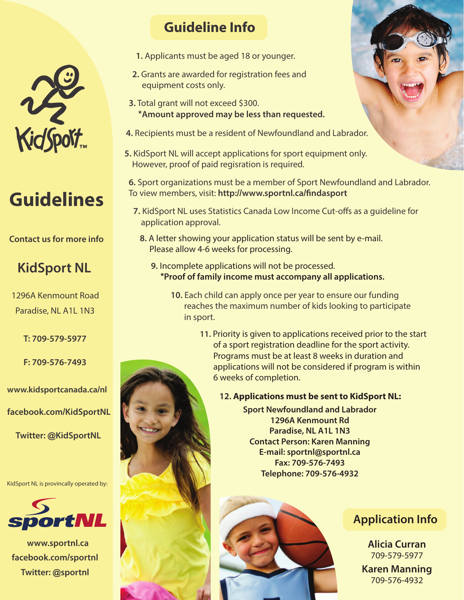

# **Guidelines**

#### **Contact us for more info**

## **KidSport NL**

1296A Kenmount Road Paradise, NL A1L 1N3

T: 709-579-5977

F: 709-576-7493

www.kidsportcanada.ca/nl facebook.com/KidSportNL

**Twitter: @KidSportNL** 

KidSport NL is provincally operated by:



www.sportnl.ca facebook.com/sportnl Twitter: @sportnl

## **Guideline Info**

- 1. Applicants must be aged 18 or younger.
- 2. Grants are awarded for registration fees and equipment costs only.
- 3. Total grant will not exceed \$300. **\*Amount approved may be less than requested.**
- 4. Recipients must be a resident of Newfoundland and Labrador.
- 5. KidSport NL will accept applications for sport equipment only. However, proof of paid regisration is required.

6. Sport organizations must be a member of Sport Newfoundland and Labrador. To view members, visit: http://www.sportnl.ca/findasport

- 7. KidSport NL uses Statistics Canada Low Income Cut-offs as a quideline for application approval.
	- A letter showing your application status will be sent by e-mail. Please allow 4-6 weeks for processing.
		- 9. Incomplete applications will not be processed. \*Proof of family income must accompany all applications.
			- 10. Each child can apply once per year to ensure our funding reaches the maximum number of kids looking to participate in sport.
				- 11. Priority is given to applications received prior to the start of a sport registration deadline for the sport activity. Programs must be at least 8 weeks in duration and applications will not be considered if program is within 6 weeks of completion.

### 12. Applications must be sent to KidSport NL:

**Sport Newfoundland and Labrador** 1296A Kenmount Ro Paradise, NL A1L 1N3 **Contact Person: Karen Manning** E-mail: sportnl@sportnl.ca Fax: 709-576-7493 Telephone: 709-576-4932





**Alicia Currar** 709-579-5977 **Karen Manning** 709-576-4932